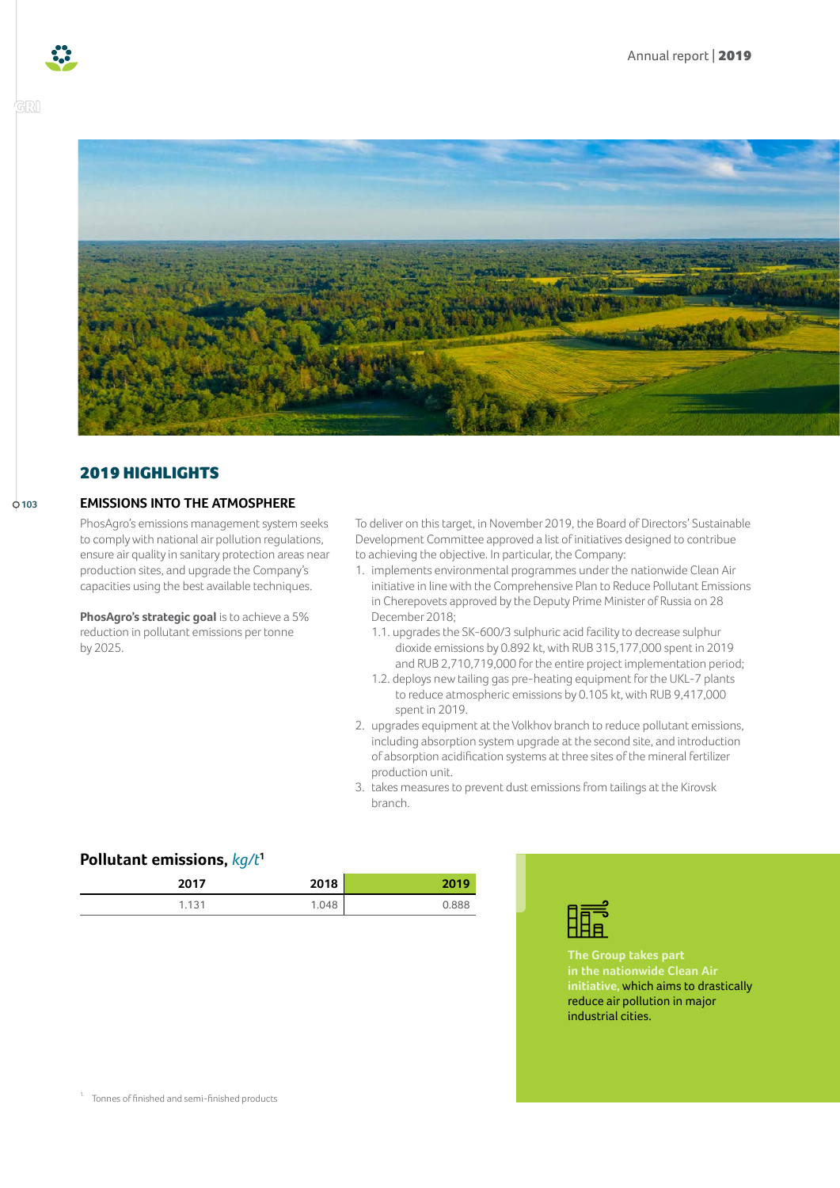**103**



## 2019 HIGHLIGHTS

#### **EMISSIONS INTO THE ATMOSPHERE**

PhosAgro's emissions management system seeks to comply with national air pollution regulations, ensure air quality in sanitary protection areas near production sites, and upgrade the Company's capacities using the best available techniques.

**PhosAgro's strategic goal** is to achieve a 5% reduction in pollutant emissions per tonne by 2025.

To deliver on this target, in November 2019, the Board of Directors' Sustainable Development Committee approved a list of initiatives designed to contribue to achieving the objective. In particular, the Company:

- 1. implements environmental programmes under the nationwide Clean Air initiative in line with the Comprehensive Plan to Reduce Pollutant Emissions in Cherepovets approved by the Deputy Prime Minister of Russia on 28 December 2018;
	- 1.1. upgrades the SK-600/3 sulphuric acid facility to decrease sulphur dioxide emissions by 0.892 kt, with RUB 315,177,000 spent in 2019 and RUB 2,710,719,000 for the entire project implementation period;
	- 1.2. deploys new tailing gas pre-heating equipment for the UKL-7 plants to reduce atmospheric emissions by 0.105 kt, with RUB 9,417,000 spent in 2019.
- 2. upgrades equipment at the Volkhov branch to reduce pollutant emissions, including absorption system upgrade at the second site, and introduction of absorption acidification systems at three sites of the mineral fertilizer production unit.
- 3. takes measures to prevent dust emissions from tailings at the Kirovsk branch.

### **Pollutant emissions,** *kg/t***[1](#page-0-0)**

| 2017  | 2018  | 2019  |
|-------|-------|-------|
| 1.131 | 1.048 | 0.888 |



**The Group takes part in the nationwide Clean Air initiative,** which aims to drastically reduce air pollution in major industrial cities.

<span id="page-0-0"></span><sup>1.</sup> Tonnes of finished and semi-finished products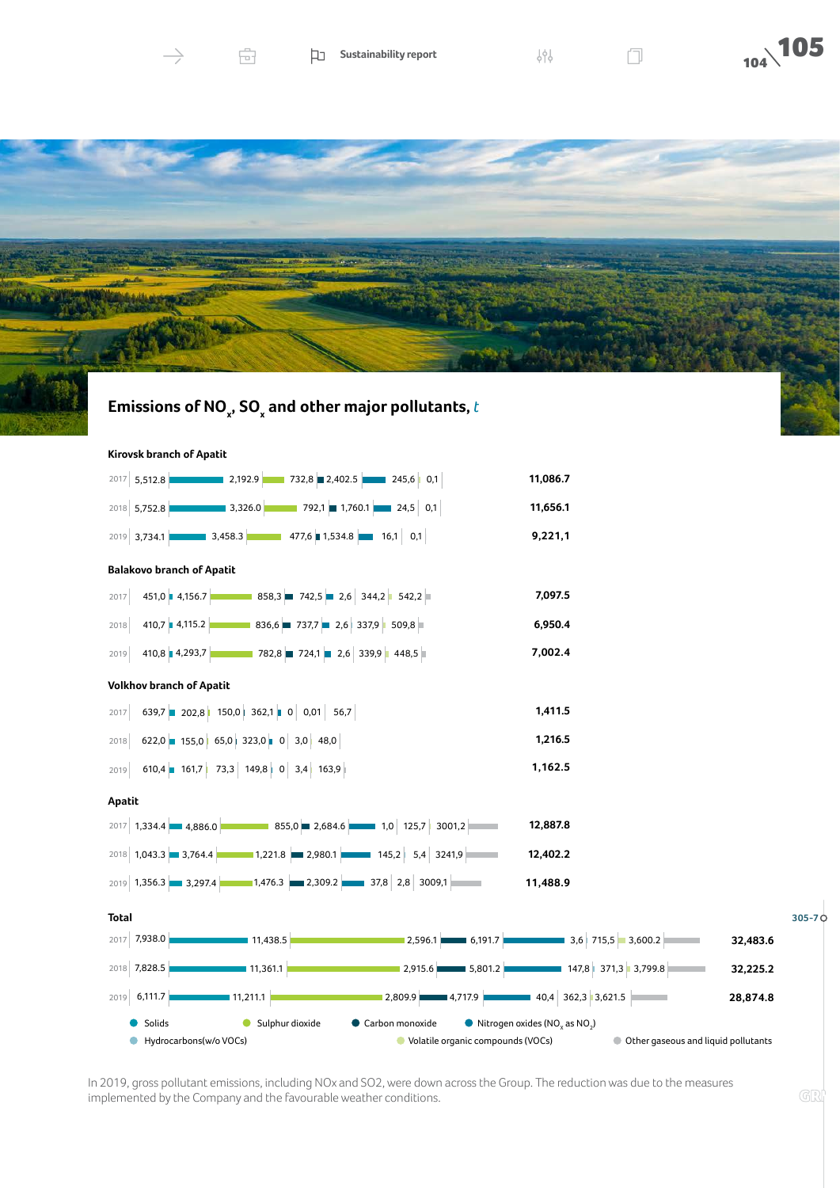

Ĥ.





# **Emissions of NO<sup>x</sup> , SO<sup>x</sup> and other major pollutants,** *t*



In 2019, gross pollutant emissions, including NOx and SO2, were down across the Group. The reduction was due to the measures implemented by the Company and the favourable weather conditions.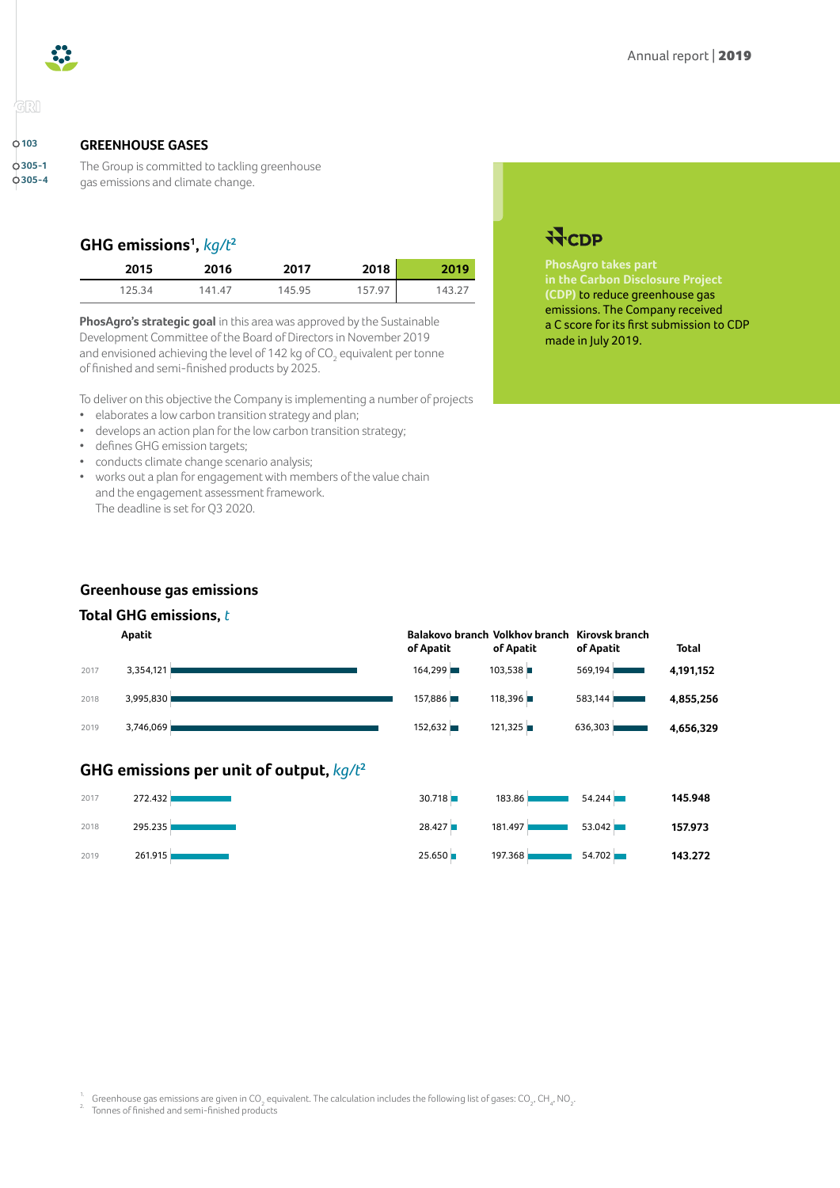



## arı

**103 305-1 305-4**

#### **GREENHOUSE GASES**

The Group is committed to tackling greenhouse gas emissions and climate change.

## **GHG emissions[1](#page-2-0) ,** *kg/t***[2](#page-2-1)**

| 2015   | 2016   | 2017   | 2018   | 2019   |
|--------|--------|--------|--------|--------|
| 125.34 | 141.47 | 145.95 | 157.97 | 143.27 |

**PhosAgro's strategic goal** in this area was approved by the Sustainable Development Committee of the Board of Directors in November 2019 and envisioned achieving the level of 142 kg of CO<sub>2</sub> equivalent per tonne of finished and semi-finished products by 2025.

To deliver on this objective the Company is implementing a number of projects

- elaborates a low carbon transition strategy and plan;
- develops an action plan for the low carbon transition strategy;
- defines GHG emission targets;
- conducts climate change scenario analysis;
- works out a plan for engagement with members of the value chain and the engagement assessment framework. The deadline is set for Q3 2020.

# **WCDP**

**PhosAgro takes part in the Carbon Disclosure Project (CDP)** to reduce greenhouse gas emissions. The Company received a C score for its first submission to CDP made in July 2019.

### **Greenhouse gas emissions**

## **Total GHG emissions,** *t*

|      | Apatit    | of Apatit | Balakovo branch Volkhov branch Kirovsk branch<br>of Apatit | of Apatit | <b>Total</b> |
|------|-----------|-----------|------------------------------------------------------------|-----------|--------------|
| 2017 | 3,354,121 | 164,299   | 103,538                                                    | 569,194   | 4,191,152    |
| 2018 | 3,995,830 | 157,886   | 118,396                                                    | 583,144   | 4,855,256    |
| 2019 | 3,746,069 | 152,632   | 121,325                                                    | 636,303   | 4,656,329    |
|      |           |           |                                                            |           |              |

## **GHG emissions per unit of output,** *kg/t***[2](#page-2-1)**



| 30.718 | 183.86  | 54.244 | 145.948 |
|--------|---------|--------|---------|
| 28.427 | 181.497 | 53.042 | 157.973 |
| 25.650 | 197.368 | 54.702 | 143.272 |

<span id="page-2-0"></span><sup>1.</sup> Greenhouse gas emissions are given in CO<sub>2</sub> equivalent. The calculation includes the following list of gases: CO<sub>2</sub>, CH<sub>4</sub>, NO<sub>2</sub>.<br><sup>2.</sup> Tonnes of finished and semi-finished products

<span id="page-2-1"></span>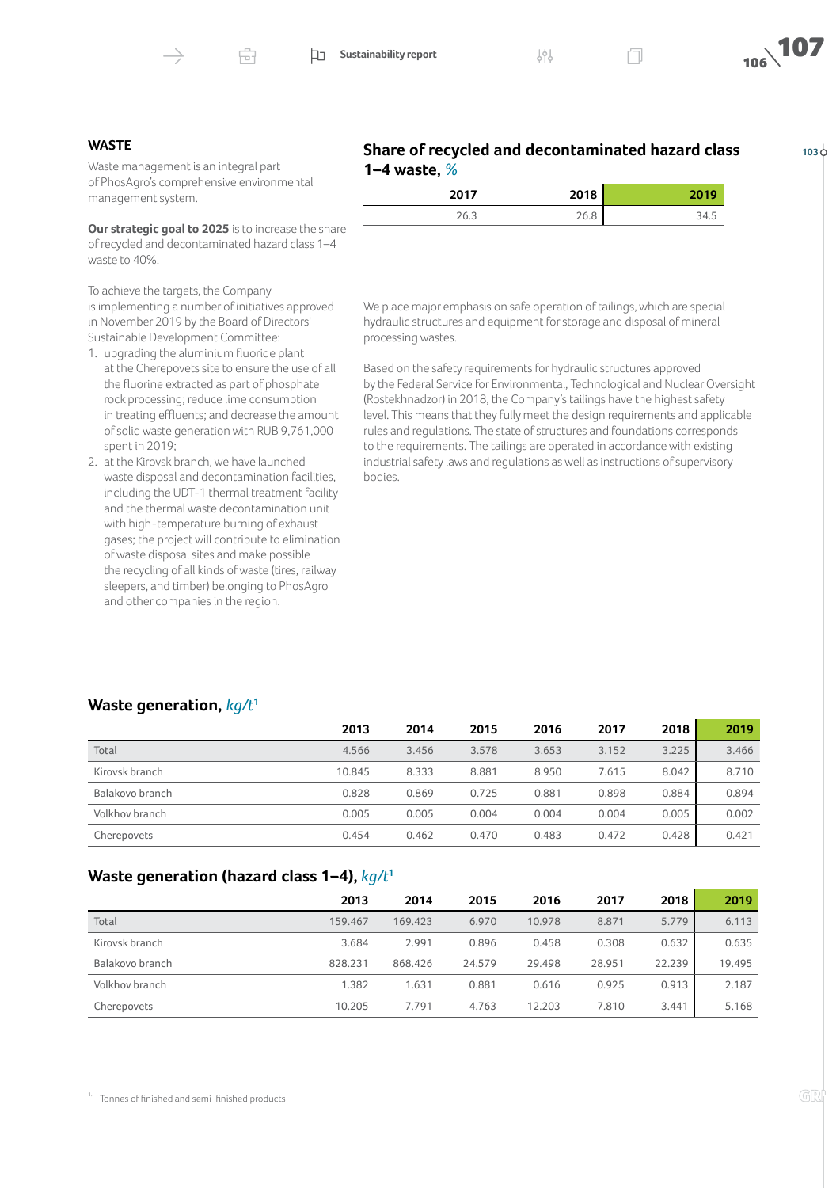Ĥ.



**103**

#### **WASTE**

Waste management is an integral part of PhosAgro's comprehensive environmental management system.

**Our strategic goal to 2025** is to increase the share of recycled and decontaminated hazard class 1–4 waste to 40%.

To achieve the targets, the Company is implementing a number of initiatives approved in November 2019 by the Board of Directors' Sustainable Development Committee:

- 1. upgrading the aluminium fluoride plant at the Cherepovets site to ensure the use of all the fluorine extracted as part of phosphate rock processing; reduce lime consumption in treating effluents; and decrease the amount of solid waste generation with RUB 9,761,000 spent in 2019;
- 2. at the Kirovsk branch, we have launched waste disposal and decontamination facilities, including the UDT-1 thermal treatment facility and the thermal waste decontamination unit with high-temperature burning of exhaust gases; the project will contribute to elimination of waste disposal sites and make possible the recycling of all kinds of waste (tires, railway sleepers, and timber) belonging to PhosAgro and other companies in the region.

| Share of recycled and decontaminated hazard class |  |
|---------------------------------------------------|--|
| 1–4 waste, $%$                                    |  |
|                                                   |  |

| 2017 | 2010<br>ıо | ---- |
|------|------------|------|
| د.0∠ | ∠∪.o       | 34.उ |

We place major emphasis on safe operation of tailings, which are special hydraulic structures and equipment for storage and disposal of mineral processing wastes.

Based on the safety requirements for hydraulic structures approved by the Federal Service for Environmental, Technological and Nuclear Oversight (Rostekhnadzor) in 2018, the Company's tailings have the highest safety level. This means that they fully meet the design requirements and applicable rules and regulations. The state of structures and foundations corresponds to the requirements. The tailings are operated in accordance with existing industrial safety laws and regulations as well as instructions of supervisory bodies.

### **Waste generation,** *kg/t***[1](#page-3-0)**

|                 | 2013   | 2014  | 2015  | 2016  | 2017  | 2018  | 2019  |
|-----------------|--------|-------|-------|-------|-------|-------|-------|
| Total           | 4.566  | 3.456 | 3.578 | 3.653 | 3.152 | 3.225 | 3.466 |
| Kirovsk branch  | 10.845 | 8.333 | 8.881 | 8.950 | 7.615 | 8.042 | 8.710 |
| Balakovo branch | 0.828  | 0.869 | 0.725 | 0.881 | 0.898 | 0.884 | 0.894 |
| Volkhov branch  | 0.005  | 0.005 | 0.004 | 0.004 | 0.004 | 0.005 | 0.002 |
| Cherepovets     | 0.454  | 0.462 | 0.470 | 0.483 | 0.472 | 0.428 | 0.421 |

### **Waste generation (hazard class 1–4),** *kg/t***[1](#page-3-0)**

<span id="page-3-0"></span>

|                 | 2013    | 2014    | 2015   | 2016   | 2017   | 2018   | 2019   |
|-----------------|---------|---------|--------|--------|--------|--------|--------|
| Total           | 159.467 | 169.423 | 6.970  | 10.978 | 8.871  | 5.779  | 6.113  |
| Kirovsk branch  | 3.684   | 2.991   | 0.896  | 0.458  | 0.308  | 0.632  | 0.635  |
| Balakovo branch | 828.231 | 868.426 | 24.579 | 29.498 | 28.951 | 22.239 | 19.495 |
| Volkhov branch  | 1.382   | 1.631   | 0.881  | 0.616  | 0.925  | 0.913  | 2.187  |
| Cherepovets     | 10.205  | 7.791   | 4.763  | 12.203 | 7.810  | 3.441  | 5.168  |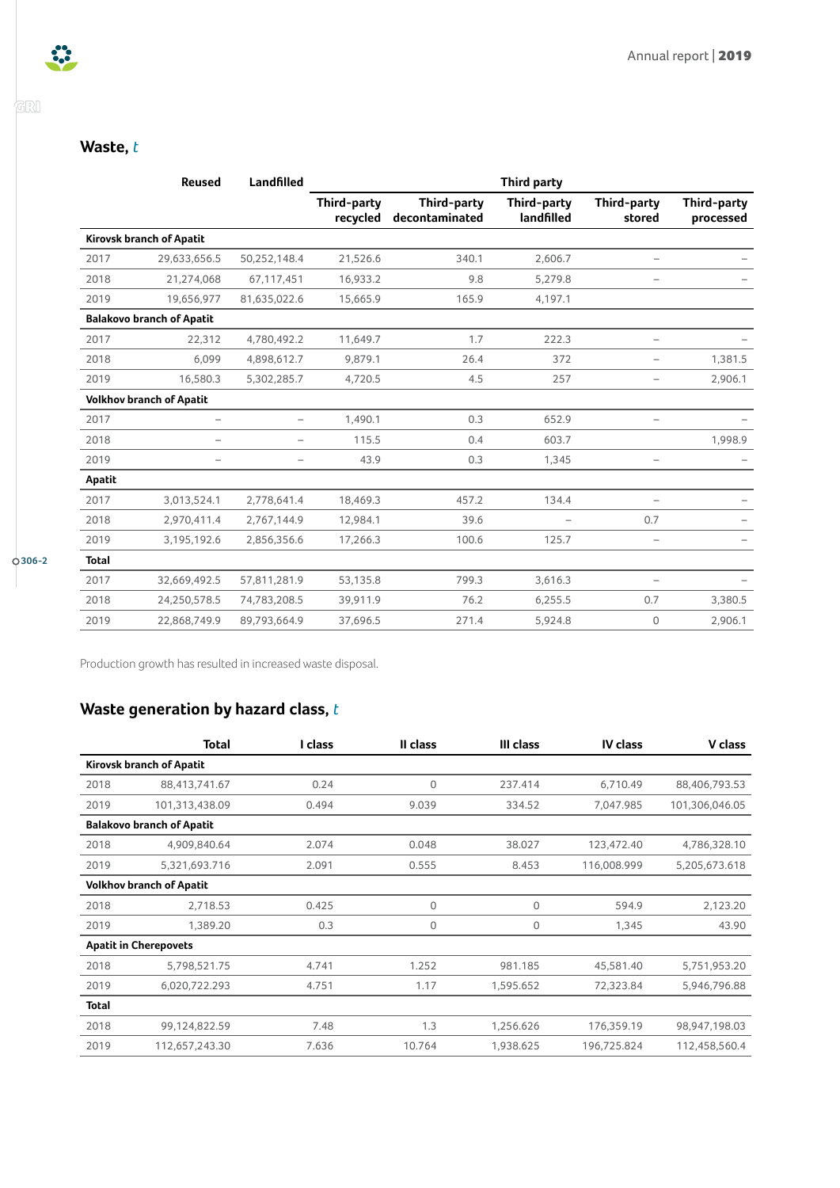GRI

## **Waste,** *t*

|              | Reused                           | Landfilled               | <b>Third party</b>      |                                      |                           |                          |                          |
|--------------|----------------------------------|--------------------------|-------------------------|--------------------------------------|---------------------------|--------------------------|--------------------------|
|              |                                  |                          | Third-party<br>recycled | <b>Third-party</b><br>decontaminated | Third-party<br>landfilled | Third-party<br>stored    | Third-party<br>processed |
|              | Kirovsk branch of Apatit         |                          |                         |                                      |                           |                          |                          |
| 2017         | 29,633,656.5                     | 50,252,148.4             | 21,526.6                | 340.1                                | 2,606.7                   | -                        |                          |
| 2018         | 21,274,068                       | 67,117,451               | 16,933.2                | 9.8                                  | 5,279.8                   | -                        |                          |
| 2019         | 19,656,977                       | 81,635,022.6             | 15,665.9                | 165.9                                | 4,197.1                   |                          |                          |
|              | <b>Balakovo branch of Apatit</b> |                          |                         |                                      |                           |                          |                          |
| 2017         | 22,312                           | 4,780,492.2              | 11,649.7                | 1.7                                  | 222.3                     | -                        |                          |
| 2018         | 6,099                            | 4,898,612.7              | 9,879.1                 | 26.4                                 | 372                       | -                        | 1,381.5                  |
| 2019         | 16,580.3                         | 5,302,285.7              | 4,720.5                 | 4.5                                  | 257                       | -                        | 2,906.1                  |
|              | <b>Volkhov branch of Apatit</b>  |                          |                         |                                      |                           |                          |                          |
| 2017         | $\qquad \qquad -$                | $\overline{\phantom{m}}$ | 1,490.1                 | 0.3                                  | 652.9                     | -                        |                          |
| 2018         | $\overline{\phantom{0}}$         | $\overline{\phantom{0}}$ | 115.5                   | 0.4                                  | 603.7                     |                          | 1,998.9                  |
| 2019         |                                  | $\overline{\phantom{0}}$ | 43.9                    | 0.3                                  | 1,345                     |                          |                          |
| Apatit       |                                  |                          |                         |                                      |                           |                          |                          |
| 2017         | 3,013,524.1                      | 2,778,641.4              | 18,469.3                | 457.2                                | 134.4                     | $\qquad \qquad -$        |                          |
| 2018         | 2,970,411.4                      | 2,767,144.9              | 12,984.1                | 39.6                                 |                           | 0.7                      |                          |
| 2019         | 3,195,192.6                      | 2,856,356.6              | 17,266.3                | 100.6                                | 125.7                     | -                        |                          |
| <b>Total</b> |                                  |                          |                         |                                      |                           |                          |                          |
| 2017         | 32,669,492.5                     | 57,811,281.9             | 53,135.8                | 799.3                                | 3,616.3                   | $\overline{\phantom{0}}$ |                          |
| 2018         | 24,250,578.5                     | 74,783,208.5             | 39,911.9                | 76.2                                 | 6,255.5                   | 0.7                      | 3,380.5                  |
| 2019         | 22,868,749.9                     | 89,793,664.9             | 37,696.5                | 271.4                                | 5,924.8                   | $\mathbf 0$              | 2,906.1                  |

Production growth has resulted in increased waste disposal.

## **Waste generation by hazard class,** *t*

|              | Total                            | I class | II class    | III class | IV class    | V class        |
|--------------|----------------------------------|---------|-------------|-----------|-------------|----------------|
|              | Kirovsk branch of Apatit         |         |             |           |             |                |
| 2018         | 88,413,741.67                    | 0.24    | $\mathbf 0$ | 237.414   | 6,710.49    | 88,406,793.53  |
| 2019         | 101,313,438.09                   | 0.494   | 9.039       | 334.52    | 7,047.985   | 101,306,046.05 |
|              | <b>Balakovo branch of Apatit</b> |         |             |           |             |                |
| 2018         | 4,909,840.64                     | 2.074   | 0.048       | 38.027    | 123,472.40  | 4,786,328.10   |
| 2019         | 5,321,693.716                    | 2.091   | 0.555       | 8.453     | 116,008.999 | 5,205,673.618  |
|              | <b>Volkhov branch of Apatit</b>  |         |             |           |             |                |
| 2018         | 2,718.53                         | 0.425   | $\mathbf 0$ | 0         | 594.9       | 2,123.20       |
| 2019         | 1,389.20                         | 0.3     | $\mathbf 0$ | 0         | 1,345       | 43.90          |
|              | <b>Apatit in Cherepovets</b>     |         |             |           |             |                |
| 2018         | 5,798,521.75                     | 4.741   | 1.252       | 981.185   | 45,581.40   | 5,751,953.20   |
| 2019         | 6,020,722.293                    | 4.751   | 1.17        | 1,595.652 | 72,323.84   | 5,946,796.88   |
| <b>Total</b> |                                  |         |             |           |             |                |
| 2018         | 99,124,822.59                    | 7.48    | 1.3         | 1,256.626 | 176,359.19  | 98,947,198.03  |
| 2019         | 112.657.243.30                   | 7.636   | 10.764      | 1,938.625 | 196,725.824 | 112,458,560.4  |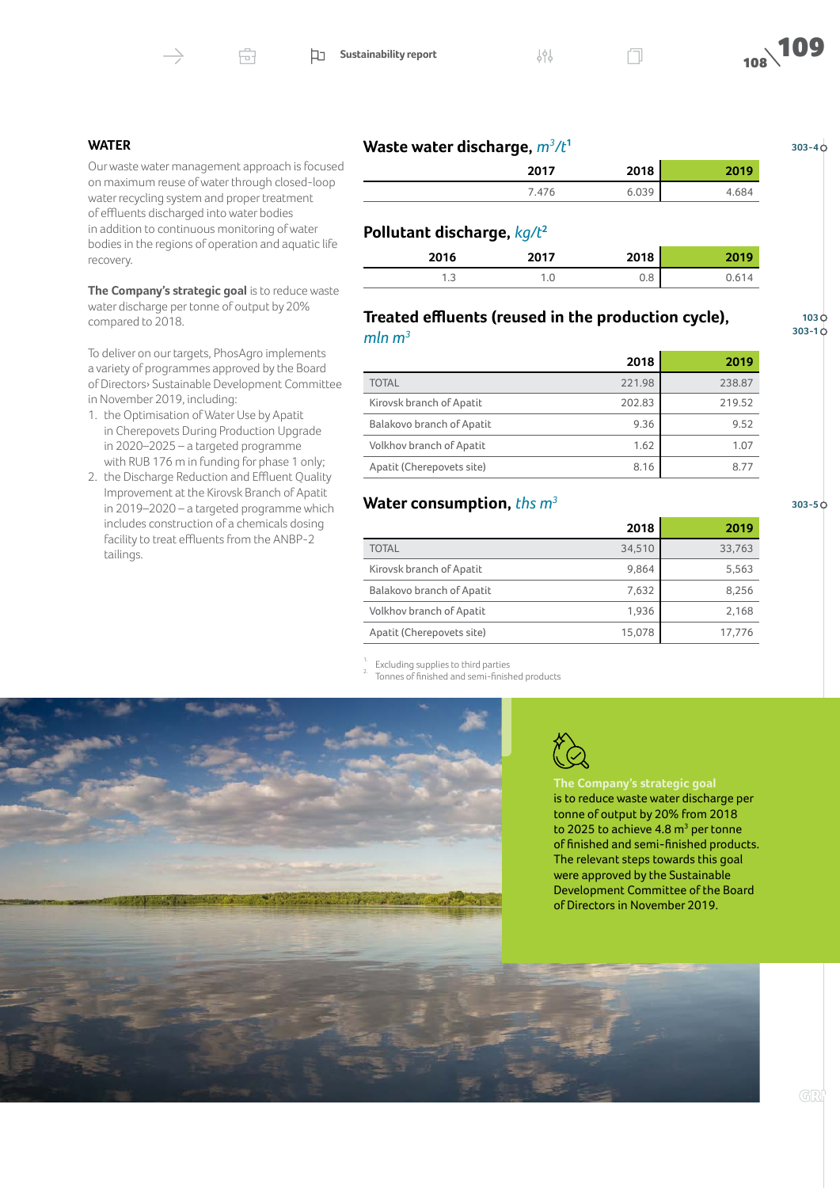



#### **WATER**

Our waste water management approach is focused on maximum reuse of water through closed-loop water recycling system and proper treatment of effluents discharged into water bodies in addition to continuous monitoring of water bodies in the regions of operation and aquatic life recovery.

**The Company's strategic goal** is to reduce waste water discharge per tonne of output by 20% compared to 2018.

To deliver on our targets, PhosAgro implements a variety of programmes approved by the Board of Directors› Sustainable Development Committee in November 2019, including:

- 1. the Optimisation of Water Use by Apatit in Cherepovets During Production Upgrade in 2020–2025 – a targeted programme with RUB 176 m in funding for phase 1 only;
- 2. the Discharge Reduction and Effluent Quality Improvement at the Kirovsk Branch of Apatit in 2019–2020 – a targeted programme which includes construction of a chemicals dosing facility to treat effluents from the ANBP-2 tailings.

| Waste water discharge, $m^3/t^1$ |      |      |  |
|----------------------------------|------|------|--|
|                                  | 2017 | 2018 |  |

**2017 2018 2019** 7.476 6.039 4.684

## **Pollutant discharge,** *kg/t***[2](#page-5-1)**

| <b>2016</b><br>20 I O | 2017    | 2010<br>2010   |  |
|-----------------------|---------|----------------|--|
| ں ، ا                 | $\cdot$ | $\circ$<br>v.o |  |

#### **Treated effluents (reused in the production cycle),**  *mln m<sup>3</sup>*

**103 303-1**

**303-4**

|                           | 2018   | 2019   |
|---------------------------|--------|--------|
| <b>TOTAL</b>              | 221.98 | 238.87 |
| Kirovsk branch of Apatit  | 202.83 | 219.52 |
| Balakovo branch of Apatit | 9.36   | 9.52   |
| Volkhov branch of Apatit  | 1.62   | 1.07   |
| Apatit (Cherepovets site) | 8.16   | 8.77   |

## **Water consumption,** *ths m3*

**2018 2019** TOTAL 34,510 33,763 Kirovsk branch of Apatit 19,864 5,563 Balakovo branch of Apatit 7,632 8,256 Volkhov branch of Apatit 1,936 2,168 Apatit (Cherepovets site) 15,078 17,776

<span id="page-5-1"></span><span id="page-5-0"></span>Excluding supplies to third parties<br>Tonnes of finished and semi-finished products





**The Company's strategic goal**  is to reduce waste water discharge per tonne of output by 20% from 2018 to 2025 to achieve  $4.8 \text{ m}^3$  per tonne of finished and semi-finished products. The relevant steps towards this goal were approved by the Sustainable Development Committee of the Board of Directors in November 2019.

**303-5**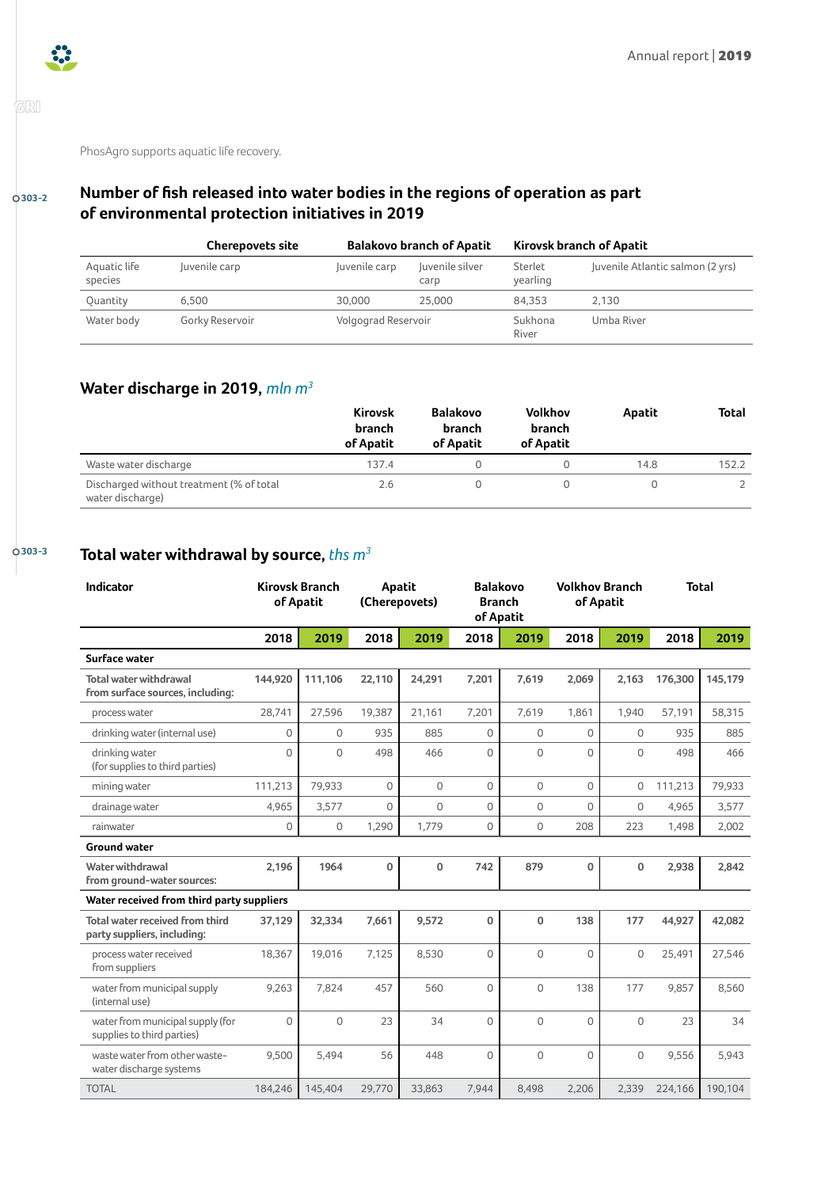

'orl

PhosAgro supports aquatic life recovery.

## **303-2**

## **Number of fish released into water bodies in the regions of operation as part of environmental protection initiatives in 2019**

|                         | <b>Cherepovets site</b> | <b>Balakovo branch of Apatit</b> |                         | Kirovsk branch of Apatit |                                  |
|-------------------------|-------------------------|----------------------------------|-------------------------|--------------------------|----------------------------------|
| Aquatic life<br>species | Juvenile carp           | Juvenile carp                    | Juvenile silver<br>carp | Sterlet<br>vearling      | Juvenile Atlantic salmon (2 yrs) |
| Ouantity                | 6.500                   | 30,000                           | 25.000                  | 84.353                   | 2.130                            |
| Water body              | Gorky Reservoir         | Volgograd Reservoir              |                         | Sukhona<br>River         | Umba River                       |

## **Water discharge in 2019,** *mln m3*

|                                                              | <b>Kirovsk</b><br>branch<br>of Apatit | <b>Balakovo</b><br><b>branch</b><br>of Apatit | <b>Volkhov</b><br>branch<br>of Apatit | Apatit | <b>Total</b> |
|--------------------------------------------------------------|---------------------------------------|-----------------------------------------------|---------------------------------------|--------|--------------|
| Waste water discharge                                        | 137.4                                 |                                               |                                       | 14.8   | 152.2        |
| Discharged without treatment (% of total<br>water discharge) | 2.6                                   |                                               |                                       |        |              |

## **303-3 Total water withdrawal by source,** *ths m3*

| <b>Indicator</b>                                                      |             | <b>Kirovsk Branch</b><br>of Apatit | Apatit<br>(Cherepovets) |        | <b>Balakovo</b><br><b>Branch</b><br>of Apatit |              |                | <b>Volkhov Branch</b><br>of Apatit |         | <b>Total</b> |
|-----------------------------------------------------------------------|-------------|------------------------------------|-------------------------|--------|-----------------------------------------------|--------------|----------------|------------------------------------|---------|--------------|
|                                                                       | 2018        | 2019                               | 2018                    | 2019   | 2018                                          | 2019         | 2018           | 2019                               | 2018    | 2019         |
| Surface water                                                         |             |                                    |                         |        |                                               |              |                |                                    |         |              |
| <b>Total water withdrawal</b><br>from surface sources, including:     | 144,920     | 111,106                            | 22,110                  | 24,291 | 7,201                                         | 7,619        | 2,069          | 2,163                              | 176,300 | 145,179      |
| process water                                                         | 28,741      | 27,596                             | 19,387                  | 21,161 | 7,201                                         | 7,619        | 1,861          | 1,940                              | 57,191  | 58,315       |
| drinking water (internal use)                                         | $\Omega$    | $\Omega$                           | 935                     | 885    | $\Omega$                                      | $\Omega$     | $\Omega$       | $\Omega$                           | 935     | 885          |
| drinking water<br>(for supplies to third parties)                     | $\Omega$    | $\Omega$                           | 498                     | 466    | $\Omega$                                      | $\Omega$     | $\Omega$       | $\Omega$                           | 498     | 466          |
| mining water                                                          | 111,213     | 79,933                             | $\mathbf 0$             | 0      | $\mathbf 0$                                   | $\mathbf 0$  | $\overline{0}$ | $\mathbf{0}$                       | 111,213 | 79,933       |
| drainage water                                                        | 4,965       | 3,577                              | $\mathbf{0}$            | 0      | $\Omega$                                      | $\circ$      | $\Omega$       | $\mathbf 0$                        | 4,965   | 3,577        |
| rainwater                                                             | $\mathbf 0$ | 0                                  | 1,290                   | 1,779  | 0                                             | $\mathbf{0}$ | 208            | 223                                | 1,498   | 2,002        |
| <b>Ground water</b>                                                   |             |                                    |                         |        |                                               |              |                |                                    |         |              |
| Water withdrawal<br>from ground-water sources:                        | 2,196       | 1964                               | $\mathbf 0$             | 0      | 742                                           | 879          | 0              | $\mathbf 0$                        | 2,938   | 2,842        |
| Water received from third party suppliers                             |             |                                    |                         |        |                                               |              |                |                                    |         |              |
| <b>Total water received from third</b><br>party suppliers, including: | 37.129      | 32,334                             | 7,661                   | 9,572  | $\mathbf{0}$                                  | $\Omega$     | 138            | 177                                | 44,927  | 42,082       |
| process water received<br>from suppliers                              | 18,367      | 19,016                             | 7,125                   | 8,530  | $\Omega$                                      | $\circ$      | $\Omega$       | $\mathbf 0$                        | 25,491  | 27,546       |
| water from municipal supply<br>(internal use)                         | 9.263       | 7.824                              | 457                     | 560    | $\Omega$                                      | $\Omega$     | 138            | 177                                | 9.857   | 8,560        |
| water from municipal supply (for<br>supplies to third parties)        | $\Omega$    | $\mathbf 0$                        | 23                      | 34     | $\Omega$                                      | $\Omega$     | $\Omega$       | $\Omega$                           | 23      | 34           |
| waste water from other waste-<br>water discharge systems              | 9,500       | 5,494                              | 56                      | 448    | $\Omega$                                      | $\Omega$     | $\Omega$       | $\Omega$                           | 9,556   | 5,943        |
| <b>TOTAL</b>                                                          | 184,246     | 145,404                            | 29,770                  | 33.863 | 7,944                                         | 8.498        | 2,206          | 2,339                              | 224,166 | 190.104      |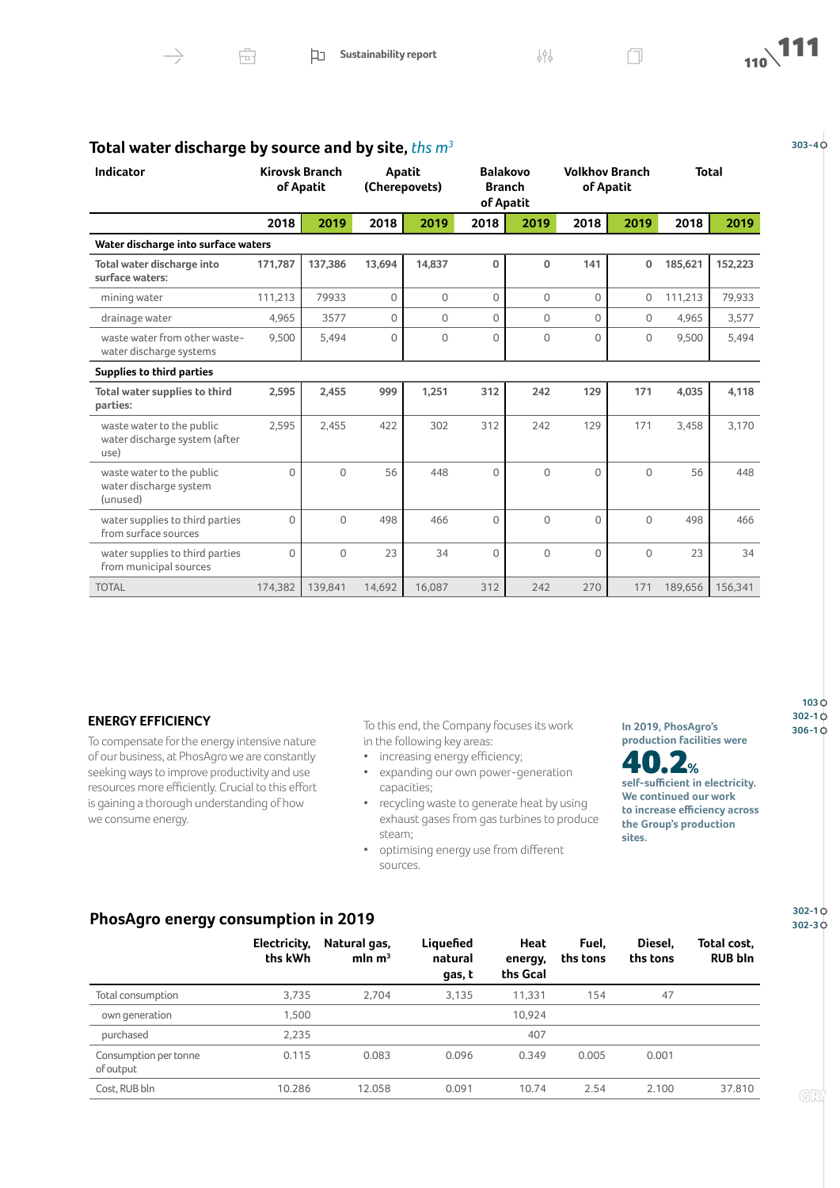

| <b>Indicator</b>                                                   |          | <b>Kirovsk Branch</b><br>of Apatit | Apatit   | (Cherepovets) | <b>Balakovo</b><br><b>Branch</b><br>of Apatit |             | <b>Volkhov Branch</b> | of Apatit   |         | <b>Total</b> |
|--------------------------------------------------------------------|----------|------------------------------------|----------|---------------|-----------------------------------------------|-------------|-----------------------|-------------|---------|--------------|
|                                                                    | 2018     | 2019                               | 2018     | 2019          | 2018                                          | 2019        | 2018                  | 2019        | 2018    | 2019         |
| Water discharge into surface waters                                |          |                                    |          |               |                                               |             |                       |             |         |              |
| Total water discharge into<br>surface waters:                      | 171,787  | 137.386                            | 13,694   | 14.837        | $\mathbf{0}$                                  | 0           | 141                   | 0           | 185,621 | 152,223      |
| mining water                                                       | 111,213  | 79933                              | $\Omega$ | 0             | 0                                             | 0           | $\Omega$              | 0           | 111,213 | 79,933       |
| drainage water                                                     | 4,965    | 3577                               | $\Omega$ | $\Omega$      | $\Omega$                                      | $\Omega$    | $\Omega$              | $\Omega$    | 4,965   | 3,577        |
| waste water from other waste-<br>water discharge systems           | 9,500    | 5,494                              | $\Omega$ | $\mathbf 0$   | $\Omega$                                      | $\mathbf 0$ | $\Omega$              | $\circ$     | 9,500   | 5,494        |
| <b>Supplies to third parties</b>                                   |          |                                    |          |               |                                               |             |                       |             |         |              |
| Total water supplies to third<br>parties:                          | 2,595    | 2,455                              | 999      | 1,251         | 312                                           | 242         | 129                   | 171         | 4,035   | 4,118        |
| waste water to the public<br>water discharge system (after<br>use) | 2,595    | 2,455                              | 422      | 302           | 312                                           | 242         | 129                   | 171         | 3,458   | 3,170        |
| waste water to the public<br>water discharge system<br>(unused)    | $\Omega$ | $\mathbf 0$                        | 56       | 448           | $\Omega$                                      | $\mathbf 0$ | $\Omega$              | $\Omega$    | 56      | 448          |
| water supplies to third parties<br>from surface sources            | $\Omega$ | $\overline{0}$                     | 498      | 466           | $\Omega$                                      | 0           | $\Omega$              | $\Omega$    | 498     | 466          |
| water supplies to third parties<br>from municipal sources          | 0        | 0                                  | 23       | 34            | $\Omega$                                      | 0           | $\Omega$              | $\mathbf 0$ | 23      | 34           |
| <b>TOTAL</b>                                                       | 174,382  | 139,841                            | 14,692   | 16.087        | 312                                           | 242         | 270                   | 171         | 189,656 | 156,341      |

## **303-4 Total water discharge by source and by site,** *ths m3*

#### **ENERGY EFFICIENCY**

To compensate for the energy intensive nature of our business, at PhosAgro we are constantly seeking ways to improve productivity and use resources more efficiently. Crucial to this effort is gaining a thorough understanding of how we consume energy.

To this end, the Company focuses its work **1n 2019, PhosAgro's** 306-10 in the following key areas:

- increasing energy efficiency;
- expanding our own power-generation capacities;
- recycling waste to generate heat by using exhaust gases from gas turbines to produce steam;
- optimising energy use from different sources.

**In 2019, PhosAgro's production facilities were** 



**self-sufficient in electricity. We continued our work to increase efficiency across the Group's production sites.** 

**PhosAgro energy consumption in 2019**

|                                    | Electricity,<br>ths kWh | Natural gas,<br>mln $m3$ | Liquefied<br>natural<br>gas, t | Heat<br>energy,<br>ths Gcal | Fuel.<br>ths tons | Diesel,<br>ths tons | Total cost.<br><b>RUB bln</b> |
|------------------------------------|-------------------------|--------------------------|--------------------------------|-----------------------------|-------------------|---------------------|-------------------------------|
| Total consumption                  | 3,735                   | 2,704                    | 3,135                          | 11,331                      | 154               | 47                  |                               |
| own generation                     | 1,500                   |                          |                                | 10.924                      |                   |                     |                               |
| purchased                          | 2,235                   |                          |                                | 407                         |                   |                     |                               |
| Consumption per tonne<br>of output | 0.115                   | 0.083                    | 0.096                          | 0.349                       | 0.005             | 0.001               |                               |
| Cost, RUB bln                      | 10.286                  | 12.058                   | 0.091                          | 10.74                       | 2.54              | 2.100               | 37.810                        |

**302-1 302-3**

**103 302-1**